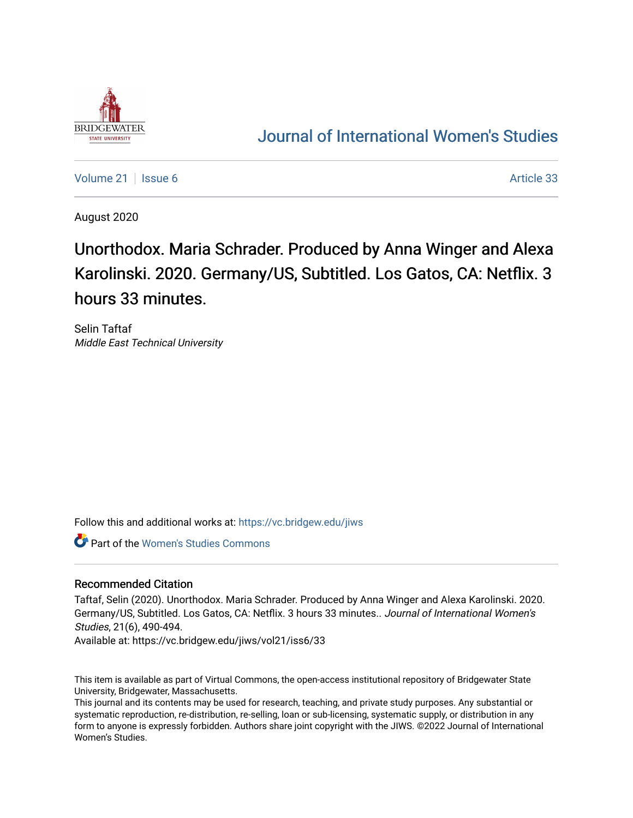

## [Journal of International Women's Studies](https://vc.bridgew.edu/jiws)

[Volume 21](https://vc.bridgew.edu/jiws/vol21) | [Issue 6](https://vc.bridgew.edu/jiws/vol21/iss6) Article 33

August 2020

# Unorthodox. Maria Schrader. Produced by Anna Winger and Alexa Karolinski. 2020. Germany/US, Subtitled. Los Gatos, CA: Netflix. 3 hours 33 minutes.

Selin Taftaf Middle East Technical University

Follow this and additional works at: [https://vc.bridgew.edu/jiws](https://vc.bridgew.edu/jiws?utm_source=vc.bridgew.edu%2Fjiws%2Fvol21%2Fiss6%2F33&utm_medium=PDF&utm_campaign=PDFCoverPages)

Part of the [Women's Studies Commons](http://network.bepress.com/hgg/discipline/561?utm_source=vc.bridgew.edu%2Fjiws%2Fvol21%2Fiss6%2F33&utm_medium=PDF&utm_campaign=PDFCoverPages) 

### Recommended Citation

Taftaf, Selin (2020). Unorthodox. Maria Schrader. Produced by Anna Winger and Alexa Karolinski. 2020. Germany/US, Subtitled. Los Gatos, CA: Netflix. 3 hours 33 minutes.. Journal of International Women's Studies, 21(6), 490-494.

Available at: https://vc.bridgew.edu/jiws/vol21/iss6/33

This item is available as part of Virtual Commons, the open-access institutional repository of Bridgewater State University, Bridgewater, Massachusetts.

This journal and its contents may be used for research, teaching, and private study purposes. Any substantial or systematic reproduction, re-distribution, re-selling, loan or sub-licensing, systematic supply, or distribution in any form to anyone is expressly forbidden. Authors share joint copyright with the JIWS. ©2022 Journal of International Women's Studies.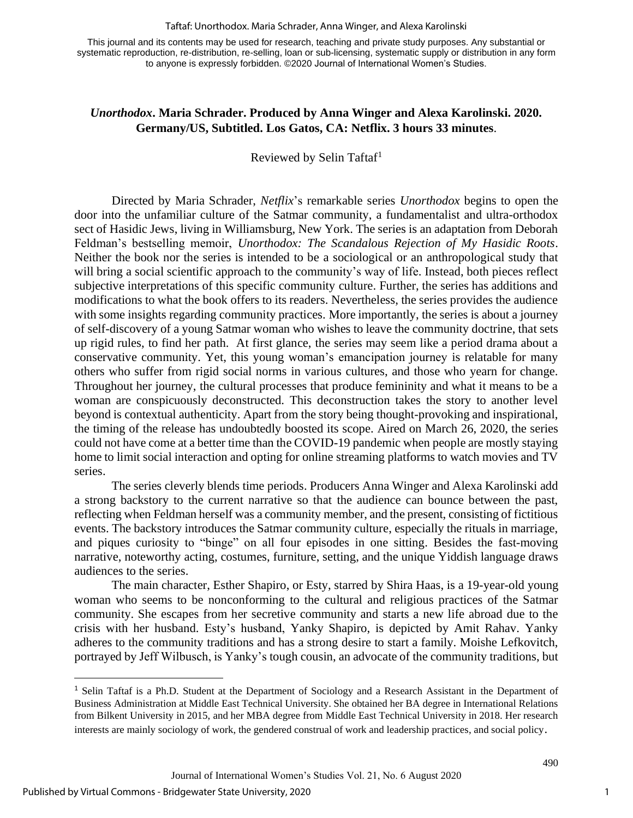#### Taftaf: Unorthodox. Maria Schrader, Anna Winger, and Alexa Karolinski

This journal and its contents may be used for research, teaching and private study purposes. Any substantial or systematic reproduction, re-distribution, re-selling, loan or sub-licensing, systematic supply or distribution in any form to anyone is expressly forbidden. ©2020 Journal of International Women's Studies.

## *Unorthodox***. Maria Schrader. Produced by Anna Winger and Alexa Karolinski. 2020. Germany/US, Subtitled. Los Gatos, CA: Netflix. 3 hours 33 minutes**.

Reviewed by Selin Taftaf<sup>1</sup>

Directed by Maria Schrader, *Netflix*'s remarkable series *Unorthodox* begins to open the door into the unfamiliar culture of the Satmar community, a fundamentalist and ultra-orthodox sect of Hasidic Jews, living in Williamsburg, New York. The series is an adaptation from Deborah Feldman's bestselling memoir, *Unorthodox: The Scandalous Rejection of My Hasidic Roots*. Neither the book nor the series is intended to be a sociological or an anthropological study that will bring a social scientific approach to the community's way of life. Instead, both pieces reflect subjective interpretations of this specific community culture. Further, the series has additions and modifications to what the book offers to its readers. Nevertheless, the series provides the audience with some insights regarding community practices. More importantly, the series is about a journey of self-discovery of a young Satmar woman who wishes to leave the community doctrine, that sets up rigid rules, to find her path. At first glance, the series may seem like a period drama about a conservative community. Yet, this young woman's emancipation journey is relatable for many others who suffer from rigid social norms in various cultures, and those who yearn for change. Throughout her journey, the cultural processes that produce femininity and what it means to be a woman are conspicuously deconstructed. This deconstruction takes the story to another level beyond is contextual authenticity. Apart from the story being thought-provoking and inspirational, the timing of the release has undoubtedly boosted its scope. Aired on March 26, 2020, the series could not have come at a better time than the COVID-19 pandemic when people are mostly staying home to limit social interaction and opting for online streaming platforms to watch movies and TV series.

The series cleverly blends time periods. Producers Anna Winger and Alexa Karolinski add a strong backstory to the current narrative so that the audience can bounce between the past, reflecting when Feldman herself was a community member, and the present, consisting of fictitious events. The backstory introduces the Satmar community culture, especially the rituals in marriage, and piques curiosity to "binge" on all four episodes in one sitting. Besides the fast-moving narrative, noteworthy acting, costumes, furniture, setting, and the unique Yiddish language draws audiences to the series.

The main character, Esther Shapiro, or Esty, starred by Shira Haas, is a 19-year-old young woman who seems to be nonconforming to the cultural and religious practices of the Satmar community. She escapes from her secretive community and starts a new life abroad due to the crisis with her husband. Esty's husband, Yanky Shapiro, is depicted by Amit Rahav. Yanky adheres to the community traditions and has a strong desire to start a family. Moishe Lefkovitch, portrayed by Jeff Wilbusch, is Yanky's tough cousin, an advocate of the community traditions, but

<sup>1</sup> Selin Taftaf is a Ph.D. Student at the Department of Sociology and a Research Assistant in the Department of Business Administration at Middle East Technical University. She obtained her BA degree in International Relations from Bilkent University in 2015, and her MBA degree from Middle East Technical University in 2018. Her research interests are mainly sociology of work, the gendered construal of work and leadership practices, and social policy.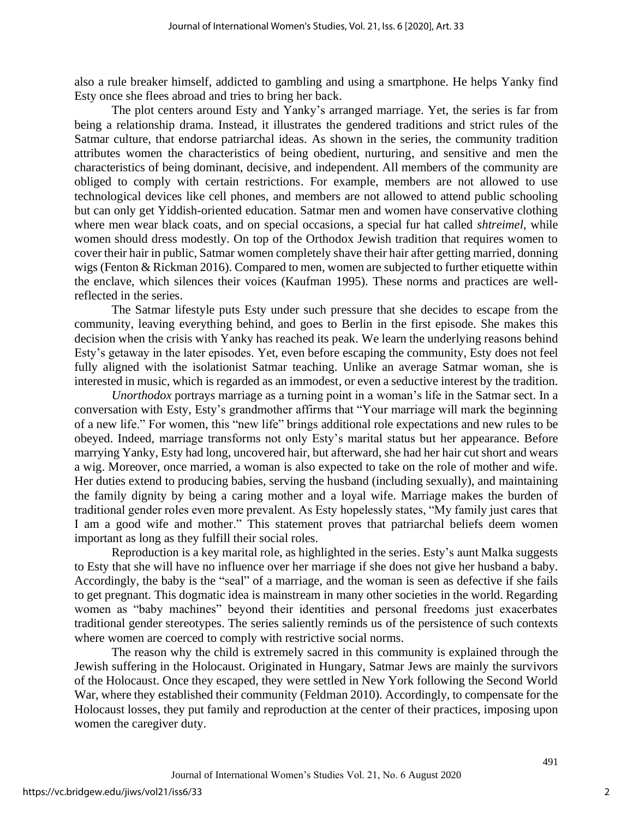also a rule breaker himself, addicted to gambling and using a smartphone. He helps Yanky find Esty once she flees abroad and tries to bring her back.

The plot centers around Esty and Yanky's arranged marriage. Yet, the series is far from being a relationship drama. Instead, it illustrates the gendered traditions and strict rules of the Satmar culture, that endorse patriarchal ideas. As shown in the series, the community tradition attributes women the characteristics of being obedient, nurturing, and sensitive and men the characteristics of being dominant, decisive, and independent. All members of the community are obliged to comply with certain restrictions. For example, members are not allowed to use technological devices like cell phones, and members are not allowed to attend public schooling but can only get Yiddish-oriented education. Satmar men and women have conservative clothing where men wear black coats, and on special occasions, a special fur hat called *shtreimel*, while women should dress modestly. On top of the Orthodox Jewish tradition that requires women to cover their hair in public, Satmar women completely shave their hair after getting married, donning wigs (Fenton & Rickman 2016). Compared to men, women are subjected to further etiquette within the enclave, which silences their voices (Kaufman 1995). These norms and practices are wellreflected in the series.

The Satmar lifestyle puts Esty under such pressure that she decides to escape from the community, leaving everything behind, and goes to Berlin in the first episode. She makes this decision when the crisis with Yanky has reached its peak. We learn the underlying reasons behind Esty's getaway in the later episodes. Yet, even before escaping the community, Esty does not feel fully aligned with the isolationist Satmar teaching. Unlike an average Satmar woman, she is interested in music, which is regarded as an immodest, or even a seductive interest by the tradition.

*Unorthodox* portrays marriage as a turning point in a woman's life in the Satmar sect. In a conversation with Esty, Esty's grandmother affirms that "Your marriage will mark the beginning of a new life." For women, this "new life" brings additional role expectations and new rules to be obeyed. Indeed, marriage transforms not only Esty's marital status but her appearance. Before marrying Yanky, Esty had long, uncovered hair, but afterward, she had her hair cut short and wears a wig. Moreover, once married, a woman is also expected to take on the role of mother and wife. Her duties extend to producing babies, serving the husband (including sexually), and maintaining the family dignity by being a caring mother and a loyal wife. Marriage makes the burden of traditional gender roles even more prevalent. As Esty hopelessly states, "My family just cares that I am a good wife and mother." This statement proves that patriarchal beliefs deem women important as long as they fulfill their social roles.

Reproduction is a key marital role, as highlighted in the series. Esty's aunt Malka suggests to Esty that she will have no influence over her marriage if she does not give her husband a baby. Accordingly, the baby is the "seal" of a marriage, and the woman is seen as defective if she fails to get pregnant. This dogmatic idea is mainstream in many other societies in the world. Regarding women as "baby machines" beyond their identities and personal freedoms just exacerbates traditional gender stereotypes. The series saliently reminds us of the persistence of such contexts where women are coerced to comply with restrictive social norms.

The reason why the child is extremely sacred in this community is explained through the Jewish suffering in the Holocaust. Originated in Hungary, Satmar Jews are mainly the survivors of the Holocaust. Once they escaped, they were settled in New York following the Second World War, where they established their community (Feldman 2010). Accordingly, to compensate for the Holocaust losses, they put family and reproduction at the center of their practices, imposing upon women the caregiver duty.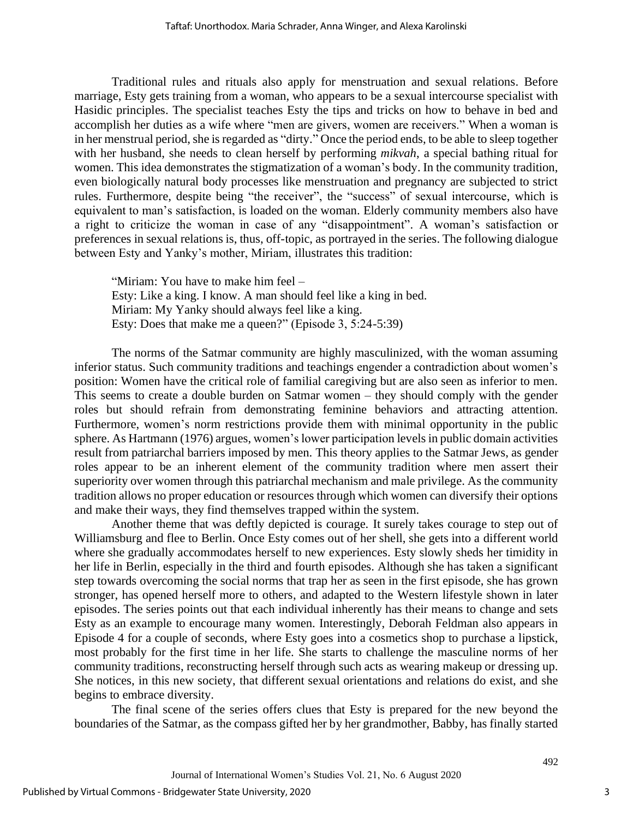Traditional rules and rituals also apply for menstruation and sexual relations. Before marriage, Esty gets training from a woman, who appears to be a sexual intercourse specialist with Hasidic principles. The specialist teaches Esty the tips and tricks on how to behave in bed and accomplish her duties as a wife where "men are givers, women are receivers." When a woman is in her menstrual period, she is regarded as "dirty." Once the period ends, to be able to sleep together with her husband, she needs to clean herself by performing *mikvah*, a special bathing ritual for women. This idea demonstrates the stigmatization of a woman's body. In the community tradition, even biologically natural body processes like menstruation and pregnancy are subjected to strict rules. Furthermore, despite being "the receiver", the "success" of sexual intercourse, which is equivalent to man's satisfaction, is loaded on the woman. Elderly community members also have a right to criticize the woman in case of any "disappointment". A woman's satisfaction or preferences in sexual relations is, thus, off-topic, as portrayed in the series. The following dialogue between Esty and Yanky's mother, Miriam, illustrates this tradition:

"Miriam: You have to make him feel – Esty: Like a king. I know. A man should feel like a king in bed. Miriam: My Yanky should always feel like a king. Esty: Does that make me a queen?" (Episode 3, 5:24-5:39)

The norms of the Satmar community are highly masculinized, with the woman assuming inferior status. Such community traditions and teachings engender a contradiction about women's position: Women have the critical role of familial caregiving but are also seen as inferior to men. This seems to create a double burden on Satmar women – they should comply with the gender roles but should refrain from demonstrating feminine behaviors and attracting attention. Furthermore, women's norm restrictions provide them with minimal opportunity in the public sphere. As Hartmann (1976) argues, women's lower participation levels in public domain activities result from patriarchal barriers imposed by men. This theory applies to the Satmar Jews, as gender roles appear to be an inherent element of the community tradition where men assert their superiority over women through this patriarchal mechanism and male privilege. As the community tradition allows no proper education or resources through which women can diversify their options and make their ways, they find themselves trapped within the system.

Another theme that was deftly depicted is courage. It surely takes courage to step out of Williamsburg and flee to Berlin. Once Esty comes out of her shell, she gets into a different world where she gradually accommodates herself to new experiences. Esty slowly sheds her timidity in her life in Berlin, especially in the third and fourth episodes. Although she has taken a significant step towards overcoming the social norms that trap her as seen in the first episode, she has grown stronger, has opened herself more to others, and adapted to the Western lifestyle shown in later episodes. The series points out that each individual inherently has their means to change and sets Esty as an example to encourage many women. Interestingly, Deborah Feldman also appears in Episode 4 for a couple of seconds, where Esty goes into a cosmetics shop to purchase a lipstick, most probably for the first time in her life. She starts to challenge the masculine norms of her community traditions, reconstructing herself through such acts as wearing makeup or dressing up. She notices, in this new society, that different sexual orientations and relations do exist, and she begins to embrace diversity.

The final scene of the series offers clues that Esty is prepared for the new beyond the boundaries of the Satmar, as the compass gifted her by her grandmother, Babby, has finally started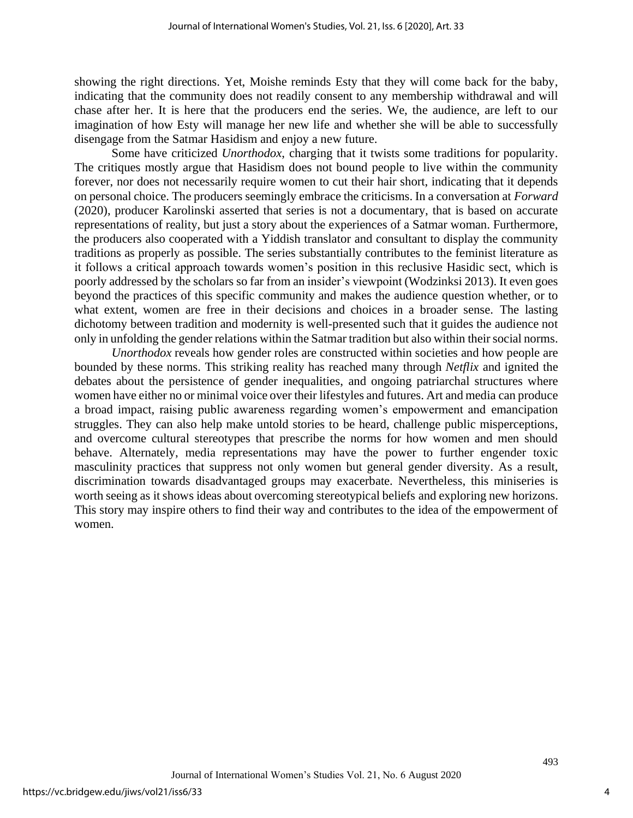showing the right directions. Yet, Moishe reminds Esty that they will come back for the baby, indicating that the community does not readily consent to any membership withdrawal and will chase after her. It is here that the producers end the series. We, the audience, are left to our imagination of how Esty will manage her new life and whether she will be able to successfully disengage from the Satmar Hasidism and enjoy a new future.

Some have criticized *Unorthodox*, charging that it twists some traditions for popularity. The critiques mostly argue that Hasidism does not bound people to live within the community forever, nor does not necessarily require women to cut their hair short, indicating that it depends on personal choice. The producers seemingly embrace the criticisms. In a conversation at *Forward* (2020), producer Karolinski asserted that series is not a documentary, that is based on accurate representations of reality, but just a story about the experiences of a Satmar woman. Furthermore, the producers also cooperated with a Yiddish translator and consultant to display the community traditions as properly as possible. The series substantially contributes to the feminist literature as it follows a critical approach towards women's position in this reclusive Hasidic sect, which is poorly addressed by the scholars so far from an insider's viewpoint (Wodzinksi 2013). It even goes beyond the practices of this specific community and makes the audience question whether, or to what extent, women are free in their decisions and choices in a broader sense. The lasting dichotomy between tradition and modernity is well-presented such that it guides the audience not only in unfolding the gender relations within the Satmar tradition but also within their social norms.

*Unorthodox* reveals how gender roles are constructed within societies and how people are bounded by these norms. This striking reality has reached many through *Netflix* and ignited the debates about the persistence of gender inequalities, and ongoing patriarchal structures where women have either no or minimal voice over their lifestyles and futures. Art and media can produce a broad impact, raising public awareness regarding women's empowerment and emancipation struggles. They can also help make untold stories to be heard, challenge public misperceptions, and overcome cultural stereotypes that prescribe the norms for how women and men should behave. Alternately, media representations may have the power to further engender toxic masculinity practices that suppress not only women but general gender diversity. As a result, discrimination towards disadvantaged groups may exacerbate. Nevertheless, this miniseries is worth seeing as it shows ideas about overcoming stereotypical beliefs and exploring new horizons. This story may inspire others to find their way and contributes to the idea of the empowerment of women.